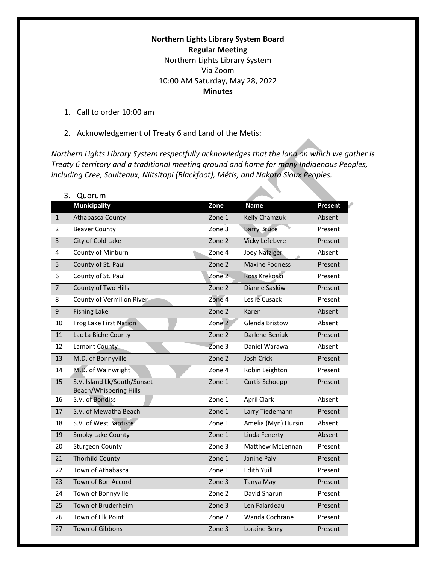### **Northern Lights Library System Board Regular Meeting**  Northern Lights Library System Via Zoom 10:00 AM Saturday, May 28, 2022 **Minutes**

- 1. Call to order 10:00 am
- 2. Acknowledgement of Treaty 6 and Land of the Metis:

*Northern Lights Library System respectfully acknowledges that the land on which we gather is Treaty 6 territory and a traditional meeting ground and home for many Indigenous Peoples, including Cree, Saulteaux, Niitsitapi (Blackfoot), Métis, and Nakota Sioux Peoples.*

 $\mathcal{L}_{\mathcal{A}}$ 

| 3.             | Quorum                                                       |                   |                         |                |
|----------------|--------------------------------------------------------------|-------------------|-------------------------|----------------|
|                | <b>Municipality</b>                                          | Zone              | <b>Name</b>             | <b>Present</b> |
| $\mathbf{1}$   | Athabasca County                                             | Zone 1            | Kelly Chamzuk           | Absent         |
| $\overline{2}$ | <b>Beaver County</b>                                         | Zone 3            | <b>Barry Bruce</b>      | Present        |
| 3              | City of Cold Lake                                            | Zone 2            | Vicky Lefebvre          | Present        |
| 4              | County of Minburn                                            | Zone 4            | <b>Joey Nafziger</b>    | Absent         |
| 5              | County of St. Paul                                           | Zone 2            | <b>Maxine Fodness</b>   | Present        |
| 6              | County of St. Paul                                           | Zone <sub>2</sub> | Ross Krekoski           | Present        |
| $\overline{7}$ | County of Two Hills                                          | Zone 2            | Dianne Saskiw           | Present        |
| 8              | County of Vermilion River                                    | Zone 4            | Leslie Cusack           | Present        |
| 9              | <b>Fishing Lake</b>                                          | Zone 2            | Karen                   | Absent         |
| 10             | Frog Lake First Nation                                       | Zone 2            | Glenda Bristow          | Absent         |
| 11             | Lac La Biche County                                          | Zone 2            | Darlene Beniuk          | Present        |
| 12             | Lamont County                                                | Zone 3            | Daniel Warawa           | Absent         |
| 13             | M.D. of Bonnyville                                           | Zone 2            | <b>Josh Crick</b>       | Present        |
| 14             | M.D. of Wainwright                                           | Zone 4            | Robin Leighton          | Present        |
| 15             | S.V. Island Lk/South/Sunset<br><b>Beach/Whispering Hills</b> | Zone 1            | <b>Curtis Schoepp</b>   | Present        |
| 16             | S.V. of Bondiss                                              | Zone 1            | <b>April Clark</b>      | Absent         |
| 17             | S.V. of Mewatha Beach                                        | Zone 1            | Larry Tiedemann         | Present        |
| 18             | S.V. of West Baptiste                                        | Zone 1            | Amelia (Myn) Hursin     | Absent         |
| 19             | <b>Smoky Lake County</b>                                     | Zone 1            | Linda Fenerty           | Absent         |
| 20             | <b>Sturgeon County</b>                                       | Zone 3            | <b>Matthew McLennan</b> | Present        |
| 21             | <b>Thorhild County</b>                                       | Zone 1            | Janine Paly             | Present        |
| 22             | Town of Athabasca                                            | Zone 1            | Edith Yuill             | Present        |
| 23             | Town of Bon Accord                                           | Zone 3            | Tanya May               | Present        |
| 24             | Town of Bonnyville                                           | Zone 2            | David Sharun            | Present        |
| 25             | Town of Bruderheim                                           | Zone 3            | Len Falardeau           | Present        |
| 26             | Town of Elk Point                                            | Zone 2            | Wanda Cochrane          | Present        |
| 27             | <b>Town of Gibbons</b>                                       | Zone 3            | Loraine Berry           | Present        |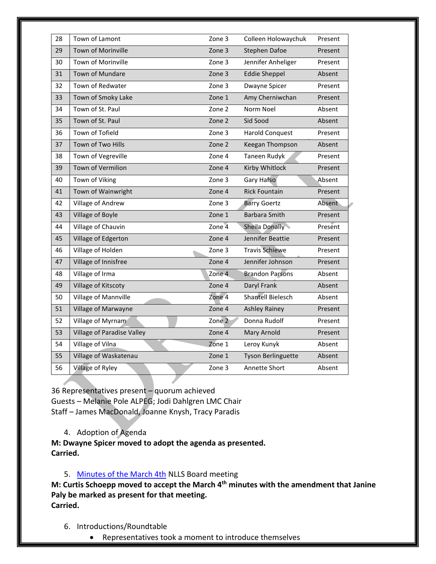| 28 | Town of Lamont             | Zone 3 | Colleen Holowaychuk       | Present |
|----|----------------------------|--------|---------------------------|---------|
| 29 | Town of Morinville         | Zone 3 | <b>Stephen Dafoe</b>      | Present |
| 30 | Town of Morinville         | Zone 3 | Jennifer Anheliger        | Present |
| 31 | Town of Mundare            | Zone 3 | <b>Eddie Sheppel</b>      | Absent  |
| 32 | Town of Redwater           | Zone 3 | Dwayne Spicer             | Present |
| 33 | Town of Smoky Lake         | Zone 1 | Amy Cherniwchan           | Present |
| 34 | Town of St. Paul           | Zone 2 | Norm Noel                 | Absent  |
| 35 | Town of St. Paul           | Zone 2 | Sid Sood                  | Absent  |
| 36 | Town of Tofield            | Zone 3 | <b>Harold Conquest</b>    | Present |
| 37 | Town of Two Hills          | Zone 2 | Keegan Thompson           | Absent  |
| 38 | Town of Vegreville         | Zone 4 | <b>Taneen Rudyk</b>       | Present |
| 39 | <b>Town of Vermilion</b>   | Zone 4 | Kirby Whitlock            | Present |
| 40 | Town of Viking             | Zone 3 | Gary Hafso                | Absent  |
| 41 | Town of Wainwright         | Zone 4 | <b>Rick Fountain</b>      | Present |
| 42 | Village of Andrew          | Zone 3 | <b>Barry Goertz</b>       | Absent  |
| 43 | Village of Boyle           | Zone 1 | <b>Barbara Smith</b>      | Present |
| 44 | Village of Chauvin         | Zone 4 | Sheila Donally            | Present |
| 45 | Village of Edgerton        | Zone 4 | Jennifer Beattie          | Present |
| 46 | Village of Holden          | Zone 3 | <b>Travis Schiewe</b>     | Present |
| 47 | Village of Innisfree       | Zone 4 | Jennifer Johnson          | Present |
| 48 | Village of Irma            | Zone 4 | <b>Brandon Parsons</b>    | Absent  |
| 49 | Village of Kitscoty        | Zone 4 | Daryl Frank               | Absent  |
| 50 | Village of Mannville       | Zone 4 | <b>Shantell Bielesch</b>  | Absent  |
| 51 | Village of Marwayne        | Zone 4 | <b>Ashley Rainey</b>      | Present |
| 52 | Village of Myrnam          | Zone 2 | Donna Rudolf              | Present |
| 53 | Village of Paradise Valley | Zone 4 | Mary Arnold               | Present |
| 54 | Village of Vilna           | Zone 1 | Leroy Kunyk               | Absent  |
| 55 | Village of Waskatenau      | Zone 1 | <b>Tyson Berlinguette</b> | Absent  |
| 56 | Village of Ryley           | Zone 3 | Annette Short             | Absent  |
|    |                            |        |                           |         |

36 Representatives present – quorum achieved Guests – Melanie Pole ALPEG; Jodi Dahlgren LMC Chair Staff – James MacDonald, Joanne Knysh, Tracy Paradis

4. Adoption of Agenda

**M: Dwayne Spicer moved to adopt the agenda as presented. Carried.**

### 5. [Minutes of the March 4th](https://nlls-my.sharepoint.com/:w:/g/personal/jmacdonald_nlls_ab_ca/EbXdQlHL1jFOj9zea9PHYSIBMJ_o8Yz-3OU-BJFwyxPR_Q?e=2lO0GS) NLLS Board meeting

**M: Curtis Schoepp moved to accept the March 4th minutes with the amendment that Janine Paly be marked as present for that meeting. Carried.**

- 6. Introductions/Roundtable
	- Representatives took a moment to introduce themselves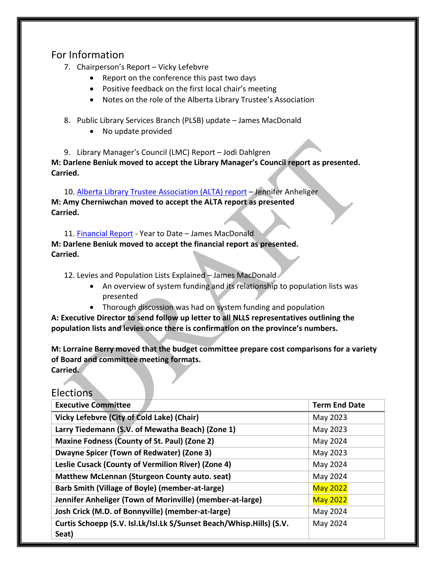# For Information

- 7. Chairperson's Report Vicky Lefebvre
	- Report on the conference this past two days
	- Positive feedback on the first local chair's meeting
	- Notes on the role of the Alberta Library Trustee's Association
- 8. Public Library Services Branch (PLSB) update James MacDonald
	- No update provided

9. Library Manager's Council (LMC) Report – Jodi Dahlgren **M: Darlene Beniuk moved to accept the Library Manager's Council report as presented. Carried.**

10. [Alberta Library Trustee Association \(ALTA\) report](https://nlls-my.sharepoint.com/:w:/g/personal/jmacdonald_nlls_ab_ca/EeBpCrJoUJhEtZFes9CUK78Bd8vKmsX1IRfwv-HmGwHTrw?e=7k6Qgx) - Jennifer Anheliger **M: Amy Cherniwchan moved to accept the ALTA report as presented Carried.**

11. [Financial Report](https://nlls-my.sharepoint.com/:x:/g/personal/thampson_nlls_ab_ca/EUTVaH4JjF1PuPoKKH7AkHQB52SFYfi2anrKhi-C5WxnbA?e=BHm7IJ) - Year to Date – James MacDonald **M: Darlene Beniuk moved to accept the financial report as presented. Carried.**

12. Levies and Population Lists Explained - James MacDonald

- An overview of system funding and its relationship to population lists was presented
- Thorough discussion was had on system funding and population

**A: Executive Director to send follow up letter to all NLLS representatives outlining the population lists and levies once there is confirmation on the province's numbers.**

**M: Lorraine Berry moved that the budget committee prepare cost comparisons for a variety of Board and committee meeting formats. Carried.** 

Elections

| <b>Executive Committee</b>                                                    | <b>Term End Date</b> |
|-------------------------------------------------------------------------------|----------------------|
| Vicky Lefebvre (City of Cold Lake) (Chair)                                    | May 2023             |
| Larry Tiedemann (S.V. of Mewatha Beach) (Zone 1)                              | May 2023             |
| Maxine Fodness (County of St. Paul) (Zone 2)                                  | May 2024             |
| Dwayne Spicer (Town of Redwater) (Zone 3)                                     | May 2023             |
| Leslie Cusack (County of Vermilion River) (Zone 4)                            | May 2024             |
| Matthew McLennan (Sturgeon County auto. seat)                                 | May 2024             |
| Barb Smith (Village of Boyle) (member-at-large)                               | <b>May 2022</b>      |
| Jennifer Anheliger (Town of Morinville) (member-at-large)                     | <b>May 2022</b>      |
| Josh Crick (M.D. of Bonnyville) (member-at-large)                             | May 2024             |
| Curtis Schoepp (S.V. Isl.Lk/Isl.Lk S/Sunset Beach/Whisp.Hills) (S.V.<br>Seat) | May 2024             |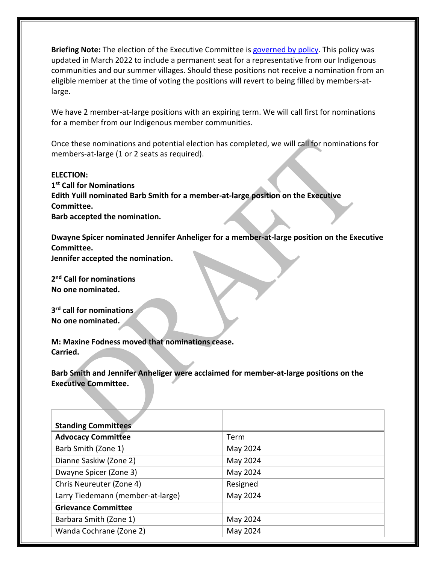Briefing Note: The election of the Executive Committee is [governed by policy.](https://nlls.libanswers.com/policies/faq/205645) This policy was updated in March 2022 to include a permanent seat for a representative from our Indigenous communities and our summer villages. Should these positions not receive a nomination from an eligible member at the time of voting the positions will revert to being filled by members-atlarge.

We have 2 member-at-large positions with an expiring term. We will call first for nominations for a member from our Indigenous member communities.

Once these nominations and potential election has completed, we will call for nominations for members-at-large (1 or 2 seats as required).

### **ELECTION:**

**1st Call for Nominations Edith Yuill nominated Barb Smith for a member-at-large position on the Executive Committee. Barb accepted the nomination.**

**Dwayne Spicer nominated Jennifer Anheliger for a member-at-large position on the Executive Committee. Jennifer accepted the nomination.**

**2nd Call for nominations**

**No one nominated.**

**3rd call for nominations No one nominated.**

**M: Maxine Fodness moved that nominations cease. Carried.**

**Barb Smith and Jennifer Anheliger were acclaimed for member-at-large positions on the Executive Committee.**

| <b>Standing Committees</b>        |          |
|-----------------------------------|----------|
| <b>Advocacy Committee</b>         | Term     |
| Barb Smith (Zone 1)               | May 2024 |
| Dianne Saskiw (Zone 2)            | May 2024 |
| Dwayne Spicer (Zone 3)            | May 2024 |
| Chris Neureuter (Zone 4)          | Resigned |
| Larry Tiedemann (member-at-large) | May 2024 |
| <b>Grievance Committee</b>        |          |
| Barbara Smith (Zone 1)            | May 2024 |
| Wanda Cochrane (Zone 2)           | May 2024 |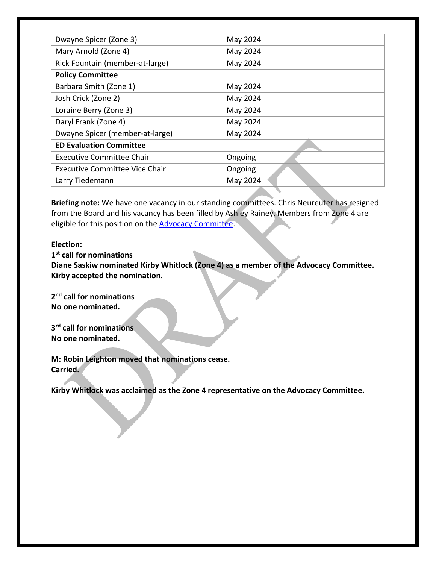| Dwayne Spicer (Zone 3)          | May 2024 |
|---------------------------------|----------|
| Mary Arnold (Zone 4)            | May 2024 |
| Rick Fountain (member-at-large) | May 2024 |
| <b>Policy Committee</b>         |          |
| Barbara Smith (Zone 1)          | May 2024 |
| Josh Crick (Zone 2)             | May 2024 |
| Loraine Berry (Zone 3)          | May 2024 |
| Daryl Frank (Zone 4)            | May 2024 |
| Dwayne Spicer (member-at-large) | May 2024 |
| <b>ED Evaluation Committee</b>  |          |
| Executive Committee Chair       | Ongoing  |
| Executive Committee Vice Chair  | Ongoing  |
| Larry Tiedemann                 | May 2024 |

**Briefing note:** We have one vacancy in our standing committees. Chris Neureuter has resigned from the Board and his vacancy has been filled by Ashley Rainey. Members from Zone 4 are eligible for this position on the **Advocacy Committee**.

#### **Election:**

**1st call for nominations Diane Saskiw nominated Kirby Whitlock (Zone 4) as a member of the Advocacy Committee. Kirby accepted the nomination.**

**2nd call for nominations No one nominated.**

**3rd call for nominations No one nominated.**

**M: Robin Leighton moved that nominations cease. Carried.**

**Kirby Whitlock was acclaimed as the Zone 4 representative on the Advocacy Committee.**